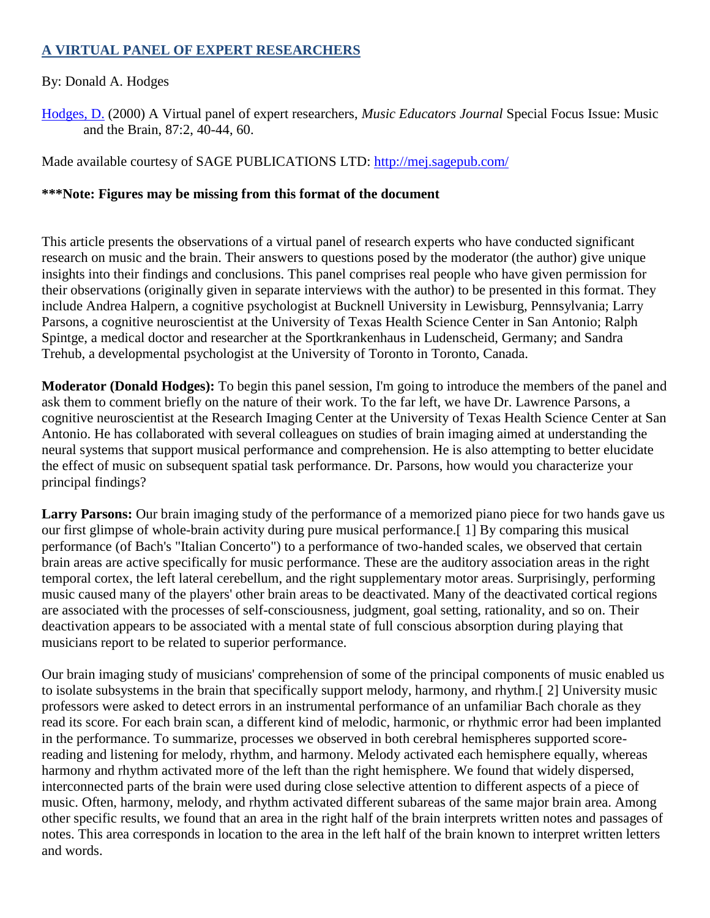## **A VIRTUAL PANEL OF EXPERT RESEARCHERS**

## By: Donald A. Hodges

[Hodges, D.](http://libres.uncg.edu/ir/uncg/clist.aspx?id=2915) (2000) A Virtual panel of expert researchers, *Music Educators Journal* Special Focus Issue: Music and the Brain, 87:2, 40-44, 60.

Made available courtesy of SAGE PUBLICATIONS LTD:<http://mej.sagepub.com/>

## **\*\*\*Note: Figures may be missing from this format of the document**

This article presents the observations of a virtual panel of research experts who have conducted significant research on music and the brain. Their answers to questions posed by the moderator (the author) give unique insights into their findings and conclusions. This panel comprises real people who have given permission for their observations (originally given in separate interviews with the author) to be presented in this format. They include Andrea Halpern, a cognitive psychologist at Bucknell University in Lewisburg, Pennsylvania; Larry Parsons, a cognitive neuroscientist at the University of Texas Health Science Center in San Antonio; Ralph Spintge, a medical doctor and researcher at the Sportkrankenhaus in Ludenscheid, Germany; and Sandra Trehub, a developmental psychologist at the University of Toronto in Toronto, Canada.

**Moderator (Donald Hodges):** To begin this panel session, I'm going to introduce the members of the panel and ask them to comment briefly on the nature of their work. To the far left, we have Dr. Lawrence Parsons, a cognitive neuroscientist at the Research Imaging Center at the University of Texas Health Science Center at San Antonio. He has collaborated with several colleagues on studies of brain imaging aimed at understanding the neural systems that support musical performance and comprehension. He is also attempting to better elucidate the effect of music on subsequent spatial task performance. Dr. Parsons, how would you characterize your principal findings?

Larry Parsons: Our brain imaging study of the performance of a memorized piano piece for two hands gave us our first glimpse of whole-brain activity during pure musical performance.[ 1] By comparing this musical performance (of Bach's "Italian Concerto") to a performance of two-handed scales, we observed that certain brain areas are active specifically for music performance. These are the auditory association areas in the right temporal cortex, the left lateral cerebellum, and the right supplementary motor areas. Surprisingly, performing music caused many of the players' other brain areas to be deactivated. Many of the deactivated cortical regions are associated with the processes of self-consciousness, judgment, goal setting, rationality, and so on. Their deactivation appears to be associated with a mental state of full conscious absorption during playing that musicians report to be related to superior performance.

Our brain imaging study of musicians' comprehension of some of the principal components of music enabled us to isolate subsystems in the brain that specifically support melody, harmony, and rhythm.[ 2] University music professors were asked to detect errors in an instrumental performance of an unfamiliar Bach chorale as they read its score. For each brain scan, a different kind of melodic, harmonic, or rhythmic error had been implanted in the performance. To summarize, processes we observed in both cerebral hemispheres supported scorereading and listening for melody, rhythm, and harmony. Melody activated each hemisphere equally, whereas harmony and rhythm activated more of the left than the right hemisphere. We found that widely dispersed, interconnected parts of the brain were used during close selective attention to different aspects of a piece of music. Often, harmony, melody, and rhythm activated different subareas of the same major brain area. Among other specific results, we found that an area in the right half of the brain interprets written notes and passages of notes. This area corresponds in location to the area in the left half of the brain known to interpret written letters and words.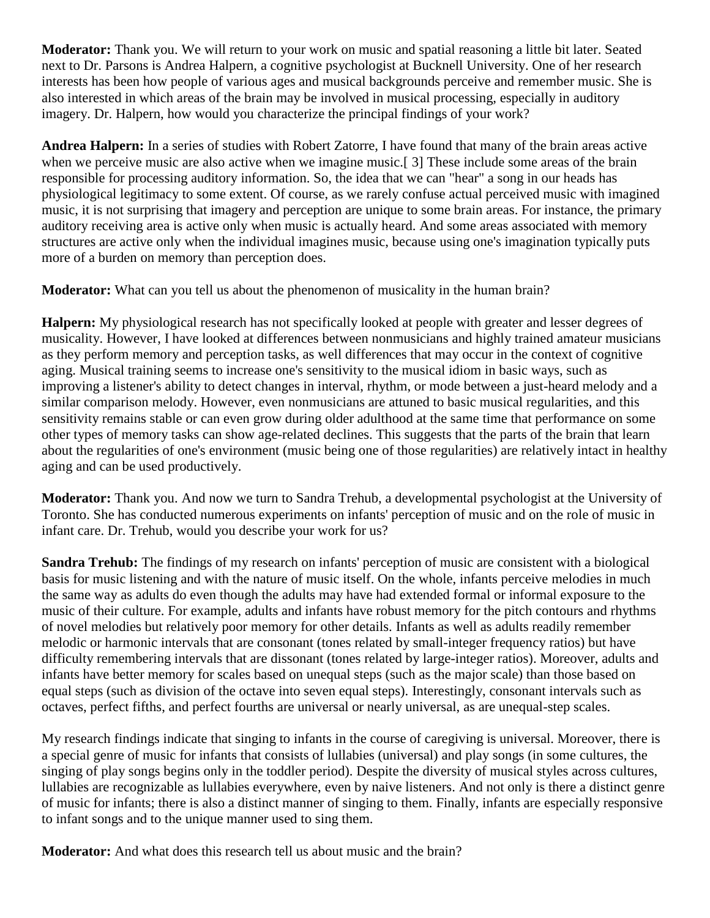**Moderator:** Thank you. We will return to your work on music and spatial reasoning a little bit later. Seated next to Dr. Parsons is Andrea Halpern, a cognitive psychologist at Bucknell University. One of her research interests has been how people of various ages and musical backgrounds perceive and remember music. She is also interested in which areas of the brain may be involved in musical processing, especially in auditory imagery. Dr. Halpern, how would you characterize the principal findings of your work?

**Andrea Halpern:** In a series of studies with Robert Zatorre, I have found that many of the brain areas active when we perceive music are also active when we imagine music.<sup>[3]</sup> These include some areas of the brain responsible for processing auditory information. So, the idea that we can "hear" a song in our heads has physiological legitimacy to some extent. Of course, as we rarely confuse actual perceived music with imagined music, it is not surprising that imagery and perception are unique to some brain areas. For instance, the primary auditory receiving area is active only when music is actually heard. And some areas associated with memory structures are active only when the individual imagines music, because using one's imagination typically puts more of a burden on memory than perception does.

**Moderator:** What can you tell us about the phenomenon of musicality in the human brain?

**Halpern:** My physiological research has not specifically looked at people with greater and lesser degrees of musicality. However, I have looked at differences between nonmusicians and highly trained amateur musicians as they perform memory and perception tasks, as well differences that may occur in the context of cognitive aging. Musical training seems to increase one's sensitivity to the musical idiom in basic ways, such as improving a listener's ability to detect changes in interval, rhythm, or mode between a just-heard melody and a similar comparison melody. However, even nonmusicians are attuned to basic musical regularities, and this sensitivity remains stable or can even grow during older adulthood at the same time that performance on some other types of memory tasks can show age-related declines. This suggests that the parts of the brain that learn about the regularities of one's environment (music being one of those regularities) are relatively intact in healthy aging and can be used productively.

**Moderator:** Thank you. And now we turn to Sandra Trehub, a developmental psychologist at the University of Toronto. She has conducted numerous experiments on infants' perception of music and on the role of music in infant care. Dr. Trehub, would you describe your work for us?

**Sandra Trehub:** The findings of my research on infants' perception of music are consistent with a biological basis for music listening and with the nature of music itself. On the whole, infants perceive melodies in much the same way as adults do even though the adults may have had extended formal or informal exposure to the music of their culture. For example, adults and infants have robust memory for the pitch contours and rhythms of novel melodies but relatively poor memory for other details. Infants as well as adults readily remember melodic or harmonic intervals that are consonant (tones related by small-integer frequency ratios) but have difficulty remembering intervals that are dissonant (tones related by large-integer ratios). Moreover, adults and infants have better memory for scales based on unequal steps (such as the major scale) than those based on equal steps (such as division of the octave into seven equal steps). Interestingly, consonant intervals such as octaves, perfect fifths, and perfect fourths are universal or nearly universal, as are unequal-step scales.

My research findings indicate that singing to infants in the course of caregiving is universal. Moreover, there is a special genre of music for infants that consists of lullabies (universal) and play songs (in some cultures, the singing of play songs begins only in the toddler period). Despite the diversity of musical styles across cultures, lullabies are recognizable as lullabies everywhere, even by naive listeners. And not only is there a distinct genre of music for infants; there is also a distinct manner of singing to them. Finally, infants are especially responsive to infant songs and to the unique manner used to sing them.

**Moderator:** And what does this research tell us about music and the brain?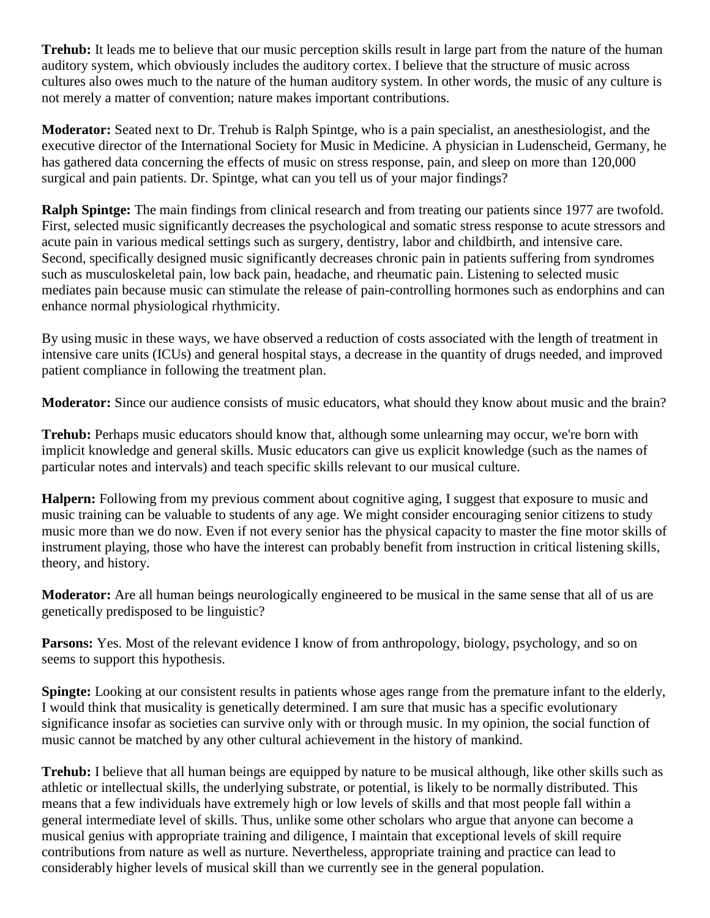**Trehub:** It leads me to believe that our music perception skills result in large part from the nature of the human auditory system, which obviously includes the auditory cortex. I believe that the structure of music across cultures also owes much to the nature of the human auditory system. In other words, the music of any culture is not merely a matter of convention; nature makes important contributions.

**Moderator:** Seated next to Dr. Trehub is Ralph Spintge, who is a pain specialist, an anesthesiologist, and the executive director of the International Society for Music in Medicine. A physician in Ludenscheid, Germany, he has gathered data concerning the effects of music on stress response, pain, and sleep on more than 120,000 surgical and pain patients. Dr. Spintge, what can you tell us of your major findings?

**Ralph Spintge:** The main findings from clinical research and from treating our patients since 1977 are twofold. First, selected music significantly decreases the psychological and somatic stress response to acute stressors and acute pain in various medical settings such as surgery, dentistry, labor and childbirth, and intensive care. Second, specifically designed music significantly decreases chronic pain in patients suffering from syndromes such as musculoskeletal pain, low back pain, headache, and rheumatic pain. Listening to selected music mediates pain because music can stimulate the release of pain-controlling hormones such as endorphins and can enhance normal physiological rhythmicity.

By using music in these ways, we have observed a reduction of costs associated with the length of treatment in intensive care units (ICUs) and general hospital stays, a decrease in the quantity of drugs needed, and improved patient compliance in following the treatment plan.

**Moderator:** Since our audience consists of music educators, what should they know about music and the brain?

**Trehub:** Perhaps music educators should know that, although some unlearning may occur, we're born with implicit knowledge and general skills. Music educators can give us explicit knowledge (such as the names of particular notes and intervals) and teach specific skills relevant to our musical culture.

**Halpern:** Following from my previous comment about cognitive aging, I suggest that exposure to music and music training can be valuable to students of any age. We might consider encouraging senior citizens to study music more than we do now. Even if not every senior has the physical capacity to master the fine motor skills of instrument playing, those who have the interest can probably benefit from instruction in critical listening skills, theory, and history.

**Moderator:** Are all human beings neurologically engineered to be musical in the same sense that all of us are genetically predisposed to be linguistic?

**Parsons:** Yes. Most of the relevant evidence I know of from anthropology, biology, psychology, and so on seems to support this hypothesis.

**Spingte:** Looking at our consistent results in patients whose ages range from the premature infant to the elderly, I would think that musicality is genetically determined. I am sure that music has a specific evolutionary significance insofar as societies can survive only with or through music. In my opinion, the social function of music cannot be matched by any other cultural achievement in the history of mankind.

**Trehub:** I believe that all human beings are equipped by nature to be musical although, like other skills such as athletic or intellectual skills, the underlying substrate, or potential, is likely to be normally distributed. This means that a few individuals have extremely high or low levels of skills and that most people fall within a general intermediate level of skills. Thus, unlike some other scholars who argue that anyone can become a musical genius with appropriate training and diligence, I maintain that exceptional levels of skill require contributions from nature as well as nurture. Nevertheless, appropriate training and practice can lead to considerably higher levels of musical skill than we currently see in the general population.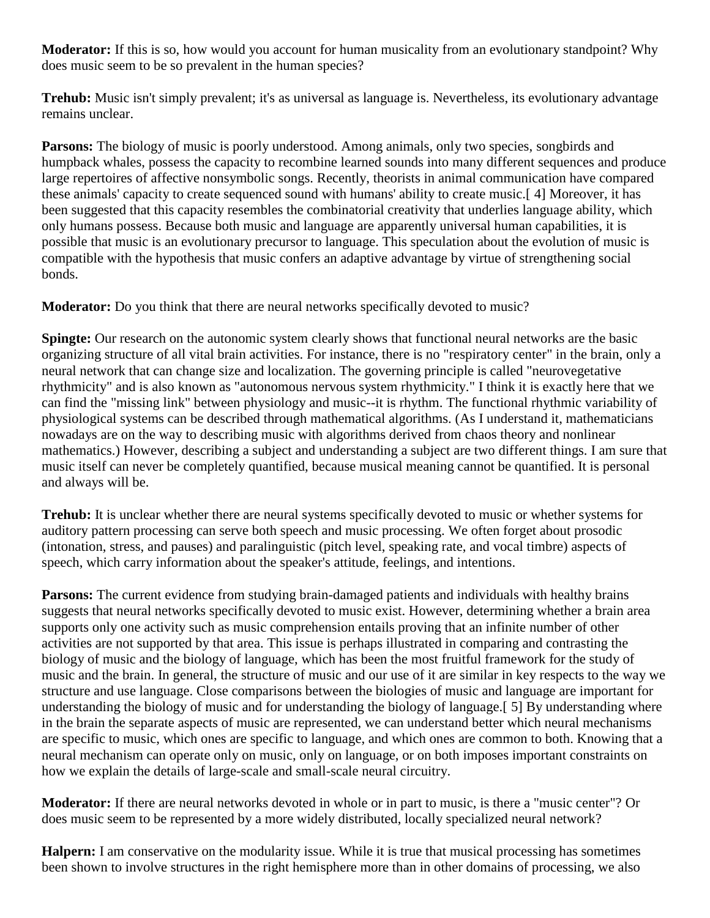**Moderator:** If this is so, how would you account for human musicality from an evolutionary standpoint? Why does music seem to be so prevalent in the human species?

**Trehub:** Music isn't simply prevalent; it's as universal as language is. Nevertheless, its evolutionary advantage remains unclear.

**Parsons:** The biology of music is poorly understood. Among animals, only two species, songbirds and humpback whales, possess the capacity to recombine learned sounds into many different sequences and produce large repertoires of affective nonsymbolic songs. Recently, theorists in animal communication have compared these animals' capacity to create sequenced sound with humans' ability to create music.[ 4] Moreover, it has been suggested that this capacity resembles the combinatorial creativity that underlies language ability, which only humans possess. Because both music and language are apparently universal human capabilities, it is possible that music is an evolutionary precursor to language. This speculation about the evolution of music is compatible with the hypothesis that music confers an adaptive advantage by virtue of strengthening social bonds.

**Moderator:** Do you think that there are neural networks specifically devoted to music?

**Spingte:** Our research on the autonomic system clearly shows that functional neural networks are the basic organizing structure of all vital brain activities. For instance, there is no "respiratory center" in the brain, only a neural network that can change size and localization. The governing principle is called "neurovegetative rhythmicity" and is also known as "autonomous nervous system rhythmicity." I think it is exactly here that we can find the "missing link" between physiology and music--it is rhythm. The functional rhythmic variability of physiological systems can be described through mathematical algorithms. (As I understand it, mathematicians nowadays are on the way to describing music with algorithms derived from chaos theory and nonlinear mathematics.) However, describing a subject and understanding a subject are two different things. I am sure that music itself can never be completely quantified, because musical meaning cannot be quantified. It is personal and always will be.

**Trehub:** It is unclear whether there are neural systems specifically devoted to music or whether systems for auditory pattern processing can serve both speech and music processing. We often forget about prosodic (intonation, stress, and pauses) and paralinguistic (pitch level, speaking rate, and vocal timbre) aspects of speech, which carry information about the speaker's attitude, feelings, and intentions.

**Parsons:** The current evidence from studying brain-damaged patients and individuals with healthy brains suggests that neural networks specifically devoted to music exist. However, determining whether a brain area supports only one activity such as music comprehension entails proving that an infinite number of other activities are not supported by that area. This issue is perhaps illustrated in comparing and contrasting the biology of music and the biology of language, which has been the most fruitful framework for the study of music and the brain. In general, the structure of music and our use of it are similar in key respects to the way we structure and use language. Close comparisons between the biologies of music and language are important for understanding the biology of music and for understanding the biology of language.[ 5] By understanding where in the brain the separate aspects of music are represented, we can understand better which neural mechanisms are specific to music, which ones are specific to language, and which ones are common to both. Knowing that a neural mechanism can operate only on music, only on language, or on both imposes important constraints on how we explain the details of large-scale and small-scale neural circuitry.

**Moderator:** If there are neural networks devoted in whole or in part to music, is there a "music center"? Or does music seem to be represented by a more widely distributed, locally specialized neural network?

**Halpern:** I am conservative on the modularity issue. While it is true that musical processing has sometimes been shown to involve structures in the right hemisphere more than in other domains of processing, we also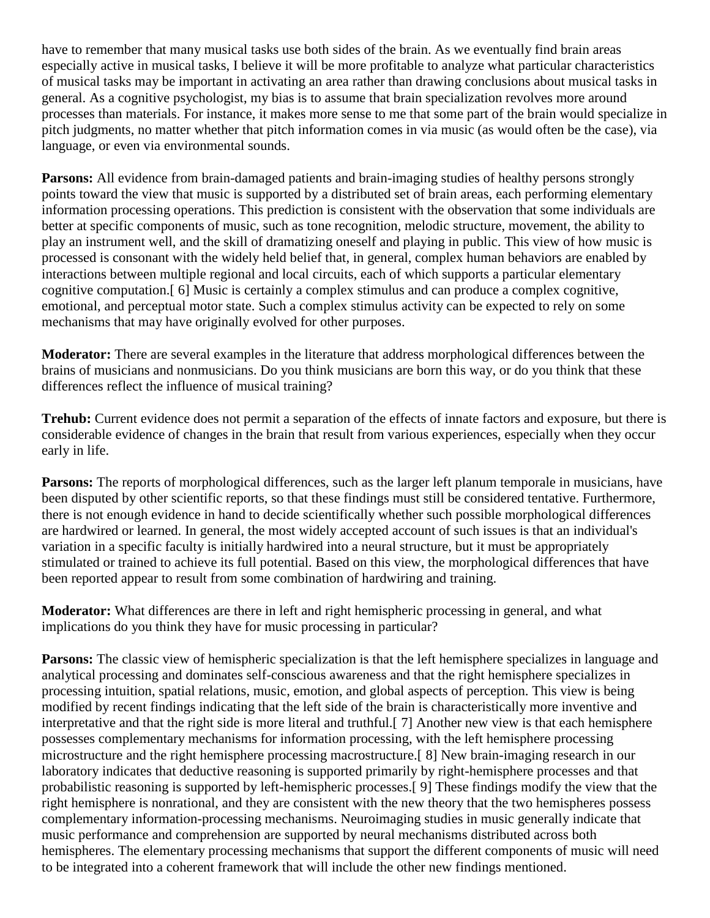have to remember that many musical tasks use both sides of the brain. As we eventually find brain areas especially active in musical tasks, I believe it will be more profitable to analyze what particular characteristics of musical tasks may be important in activating an area rather than drawing conclusions about musical tasks in general. As a cognitive psychologist, my bias is to assume that brain specialization revolves more around processes than materials. For instance, it makes more sense to me that some part of the brain would specialize in pitch judgments, no matter whether that pitch information comes in via music (as would often be the case), via language, or even via environmental sounds.

**Parsons:** All evidence from brain-damaged patients and brain-imaging studies of healthy persons strongly points toward the view that music is supported by a distributed set of brain areas, each performing elementary information processing operations. This prediction is consistent with the observation that some individuals are better at specific components of music, such as tone recognition, melodic structure, movement, the ability to play an instrument well, and the skill of dramatizing oneself and playing in public. This view of how music is processed is consonant with the widely held belief that, in general, complex human behaviors are enabled by interactions between multiple regional and local circuits, each of which supports a particular elementary cognitive computation.[ 6] Music is certainly a complex stimulus and can produce a complex cognitive, emotional, and perceptual motor state. Such a complex stimulus activity can be expected to rely on some mechanisms that may have originally evolved for other purposes.

**Moderator:** There are several examples in the literature that address morphological differences between the brains of musicians and nonmusicians. Do you think musicians are born this way, or do you think that these differences reflect the influence of musical training?

**Trehub:** Current evidence does not permit a separation of the effects of innate factors and exposure, but there is considerable evidence of changes in the brain that result from various experiences, especially when they occur early in life.

**Parsons:** The reports of morphological differences, such as the larger left planum temporale in musicians, have been disputed by other scientific reports, so that these findings must still be considered tentative. Furthermore, there is not enough evidence in hand to decide scientifically whether such possible morphological differences are hardwired or learned. In general, the most widely accepted account of such issues is that an individual's variation in a specific faculty is initially hardwired into a neural structure, but it must be appropriately stimulated or trained to achieve its full potential. Based on this view, the morphological differences that have been reported appear to result from some combination of hardwiring and training.

**Moderator:** What differences are there in left and right hemispheric processing in general, and what implications do you think they have for music processing in particular?

**Parsons:** The classic view of hemispheric specialization is that the left hemisphere specializes in language and analytical processing and dominates self-conscious awareness and that the right hemisphere specializes in processing intuition, spatial relations, music, emotion, and global aspects of perception. This view is being modified by recent findings indicating that the left side of the brain is characteristically more inventive and interpretative and that the right side is more literal and truthful.[ 7] Another new view is that each hemisphere possesses complementary mechanisms for information processing, with the left hemisphere processing microstructure and the right hemisphere processing macrostructure.[ 8] New brain-imaging research in our laboratory indicates that deductive reasoning is supported primarily by right-hemisphere processes and that probabilistic reasoning is supported by left-hemispheric processes.[ 9] These findings modify the view that the right hemisphere is nonrational, and they are consistent with the new theory that the two hemispheres possess complementary information-processing mechanisms. Neuroimaging studies in music generally indicate that music performance and comprehension are supported by neural mechanisms distributed across both hemispheres. The elementary processing mechanisms that support the different components of music will need to be integrated into a coherent framework that will include the other new findings mentioned.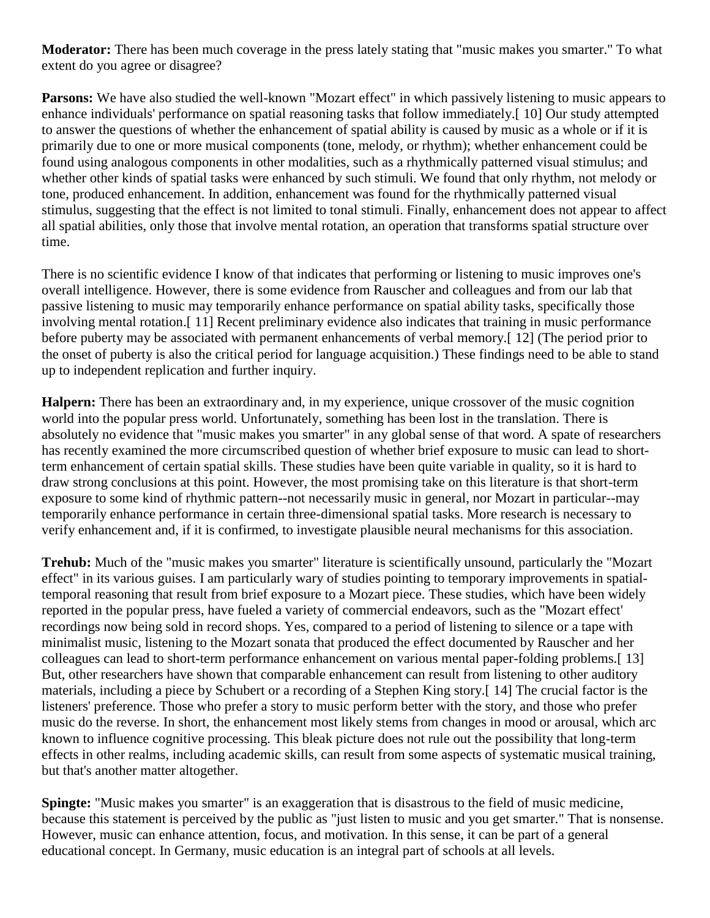**Moderator:** There has been much coverage in the press lately stating that "music makes you smarter." To what extent do you agree or disagree?

**Parsons:** We have also studied the well-known "Mozart effect" in which passively listening to music appears to enhance individuals' performance on spatial reasoning tasks that follow immediately.[ 10] Our study attempted to answer the questions of whether the enhancement of spatial ability is caused by music as a whole or if it is primarily due to one or more musical components (tone, melody, or rhythm); whether enhancement could be found using analogous components in other modalities, such as a rhythmically patterned visual stimulus; and whether other kinds of spatial tasks were enhanced by such stimuli. We found that only rhythm, not melody or tone, produced enhancement. In addition, enhancement was found for the rhythmically patterned visual stimulus, suggesting that the effect is not limited to tonal stimuli. Finally, enhancement does not appear to affect all spatial abilities, only those that involve mental rotation, an operation that transforms spatial structure over time.

There is no scientific evidence I know of that indicates that performing or listening to music improves one's overall intelligence. However, there is some evidence from Rauscher and colleagues and from our lab that passive listening to music may temporarily enhance performance on spatial ability tasks, specifically those involving mental rotation.[ 11] Recent preliminary evidence also indicates that training in music performance before puberty may be associated with permanent enhancements of verbal memory.[ 12] (The period prior to the onset of puberty is also the critical period for language acquisition.) These findings need to be able to stand up to independent replication and further inquiry.

**Halpern:** There has been an extraordinary and, in my experience, unique crossover of the music cognition world into the popular press world. Unfortunately, something has been lost in the translation. There is absolutely no evidence that "music makes you smarter" in any global sense of that word. A spate of researchers has recently examined the more circumscribed question of whether brief exposure to music can lead to shortterm enhancement of certain spatial skills. These studies have been quite variable in quality, so it is hard to draw strong conclusions at this point. However, the most promising take on this literature is that short-term exposure to some kind of rhythmic pattern--not necessarily music in general, nor Mozart in particular--may temporarily enhance performance in certain three-dimensional spatial tasks. More research is necessary to verify enhancement and, if it is confirmed, to investigate plausible neural mechanisms for this association.

**Trehub:** Much of the "music makes you smarter" literature is scientifically unsound, particularly the "Mozart effect" in its various guises. I am particularly wary of studies pointing to temporary improvements in spatialtemporal reasoning that result from brief exposure to a Mozart piece. These studies, which have been widely reported in the popular press, have fueled a variety of commercial endeavors, such as the "Mozart effect' recordings now being sold in record shops. Yes, compared to a period of listening to silence or a tape with minimalist music, listening to the Mozart sonata that produced the effect documented by Rauscher and her colleagues can lead to short-term performance enhancement on various mental paper-folding problems.[ 13] But, other researchers have shown that comparable enhancement can result from listening to other auditory materials, including a piece by Schubert or a recording of a Stephen King story.[ 14] The crucial factor is the listeners' preference. Those who prefer a story to music perform better with the story, and those who prefer music do the reverse. In short, the enhancement most likely stems from changes in mood or arousal, which arc known to influence cognitive processing. This bleak picture does not rule out the possibility that long-term effects in other realms, including academic skills, can result from some aspects of systematic musical training, but that's another matter altogether.

**Spingte:** "Music makes you smarter" is an exaggeration that is disastrous to the field of music medicine, because this statement is perceived by the public as "just listen to music and you get smarter." That is nonsense. However, music can enhance attention, focus, and motivation. In this sense, it can be part of a general educational concept. In Germany, music education is an integral part of schools at all levels.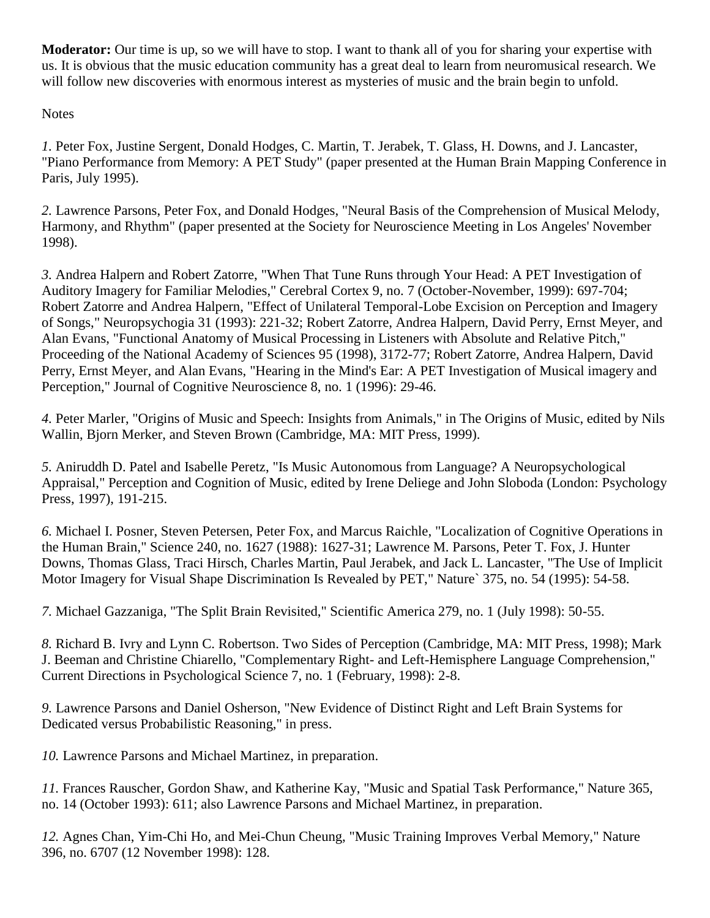**Moderator:** Our time is up, so we will have to stop. I want to thank all of you for sharing your expertise with us. It is obvious that the music education community has a great deal to learn from neuromusical research. We will follow new discoveries with enormous interest as mysteries of music and the brain begin to unfold.

**Notes** 

*1.* Peter Fox, Justine Sergent, Donald Hodges, C. Martin, T. Jerabek, T. Glass, H. Downs, and J. Lancaster, "Piano Performance from Memory: A PET Study" (paper presented at the Human Brain Mapping Conference in Paris, July 1995).

*2.* Lawrence Parsons, Peter Fox, and Donald Hodges, "Neural Basis of the Comprehension of Musical Melody, Harmony, and Rhythm" (paper presented at the Society for Neuroscience Meeting in Los Angeles' November 1998).

*3.* Andrea Halpern and Robert Zatorre, "When That Tune Runs through Your Head: A PET Investigation of Auditory Imagery for Familiar Melodies," Cerebral Cortex 9, no. 7 (October-November, 1999): 697-704; Robert Zatorre and Andrea Halpern, "Effect of Unilateral Temporal-Lobe Excision on Perception and Imagery of Songs," Neuropsychogia 31 (1993): 221-32; Robert Zatorre, Andrea Halpern, David Perry, Ernst Meyer, and Alan Evans, "Functional Anatomy of Musical Processing in Listeners with Absolute and Relative Pitch," Proceeding of the National Academy of Sciences 95 (1998), 3172-77; Robert Zatorre, Andrea Halpern, David Perry, Ernst Meyer, and Alan Evans, "Hearing in the Mind's Ear: A PET Investigation of Musical imagery and Perception," Journal of Cognitive Neuroscience 8, no. 1 (1996): 29-46.

*4.* Peter Marler, "Origins of Music and Speech: Insights from Animals," in The Origins of Music, edited by Nils Wallin, Bjorn Merker, and Steven Brown (Cambridge, MA: MIT Press, 1999).

*5.* Aniruddh D. Patel and Isabelle Peretz, "Is Music Autonomous from Language? A Neuropsychological Appraisal," Perception and Cognition of Music, edited by Irene Deliege and John Sloboda (London: Psychology Press, 1997), 191-215.

*6.* Michael I. Posner, Steven Petersen, Peter Fox, and Marcus Raichle, "Localization of Cognitive Operations in the Human Brain," Science 240, no. 1627 (1988): 1627-31; Lawrence M. Parsons, Peter T. Fox, J. Hunter Downs, Thomas Glass, Traci Hirsch, Charles Martin, Paul Jerabek, and Jack L. Lancaster, "The Use of Implicit Motor Imagery for Visual Shape Discrimination Is Revealed by PET," Nature` 375, no. 54 (1995): 54-58.

*7.* Michael Gazzaniga, "The Split Brain Revisited," Scientific America 279, no. 1 (July 1998): 50-55.

*8.* Richard B. Ivry and Lynn C. Robertson. Two Sides of Perception (Cambridge, MA: MIT Press, 1998); Mark J. Beeman and Christine Chiarello, "Complementary Right- and Left-Hemisphere Language Comprehension," Current Directions in Psychological Science 7, no. 1 (February, 1998): 2-8.

*9.* Lawrence Parsons and Daniel Osherson, "New Evidence of Distinct Right and Left Brain Systems for Dedicated versus Probabilistic Reasoning," in press.

*10.* Lawrence Parsons and Michael Martinez, in preparation.

*11.* Frances Rauscher, Gordon Shaw, and Katherine Kay, "Music and Spatial Task Performance," Nature 365, no. 14 (October 1993): 611; also Lawrence Parsons and Michael Martinez, in preparation.

*12.* Agnes Chan, Yim-Chi Ho, and Mei-Chun Cheung, "Music Training Improves Verbal Memory," Nature 396, no. 6707 (12 November 1998): 128.